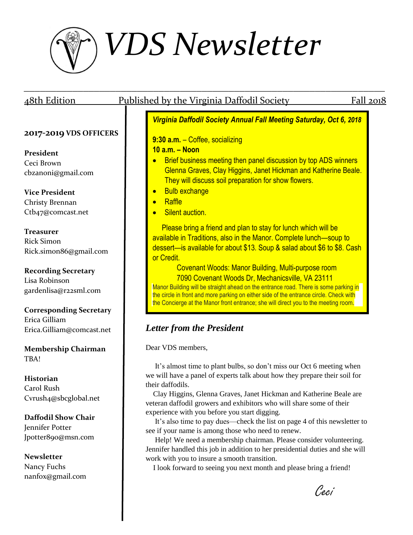

| <u>48th Edition</u>            | <u>Published by the Virginia Daffodil Society</u><br>Fall 2018                                                                                                                |  |  |
|--------------------------------|-------------------------------------------------------------------------------------------------------------------------------------------------------------------------------|--|--|
|                                | Virginia Daffodil Society Annual Fall Meeting Saturday, Oct 6, 2018                                                                                                           |  |  |
| 2017-2019 VDS OFFICERS         |                                                                                                                                                                               |  |  |
|                                | 9:30 a.m. - Coffee, socializing                                                                                                                                               |  |  |
| President                      | $10$ a.m. $-$ Noon                                                                                                                                                            |  |  |
| Ceci Brown                     | Brief business meeting then panel discussion by top ADS winners                                                                                                               |  |  |
| cbzanoni@gmail.com             | Glenna Graves, Clay Higgins, Janet Hickman and Katherine Beale.                                                                                                               |  |  |
|                                | They will discuss soil preparation for show flowers.                                                                                                                          |  |  |
| <b>Vice President</b>          | <b>Bulb exchange</b><br>$\bullet$                                                                                                                                             |  |  |
| Christy Brennan                | Raffle<br>$\bullet$                                                                                                                                                           |  |  |
| Ctb47@comcast.net              | Silent auction.                                                                                                                                                               |  |  |
|                                |                                                                                                                                                                               |  |  |
| <b>Treasurer</b>               | Please bring a friend and plan to stay for lunch which will be                                                                                                                |  |  |
| <b>Rick Simon</b>              | available in Traditions, also in the Manor. Complete lunch—soup to                                                                                                            |  |  |
| Rick.simon86@gmail.com         | dessert—is available for about \$13. Soup & salad about \$6 to \$8. Cash                                                                                                      |  |  |
|                                | or Credit.                                                                                                                                                                    |  |  |
| <b>Recording Secretary</b>     | <b>Covenant Woods: Manor Building, Multi-purpose room</b>                                                                                                                     |  |  |
| Lisa Robinson                  | 7090 Covenant Woods Dr, Mechanicsville, VA 23111                                                                                                                              |  |  |
| gardenlisa@r22sml.com          | Manor Building will be straight ahead on the entrance road. There is some parking in                                                                                          |  |  |
|                                | the circle in front and more parking on either side of the entrance circle. Check with<br>the Concierge at the Manor front entrance; she will direct you to the meeting room. |  |  |
| <b>Corresponding Secretary</b> |                                                                                                                                                                               |  |  |
| Erica Gilliam                  |                                                                                                                                                                               |  |  |
| Erica.Gilliam@comcast.net      | <b>Letter from the President</b>                                                                                                                                              |  |  |
| <b>Membership Chairman</b>     | Dear VDS members,                                                                                                                                                             |  |  |
| TBA!                           |                                                                                                                                                                               |  |  |
|                                | It's almost time to plant bulbs, so don't miss our Oct 6 meeting when                                                                                                         |  |  |
| <b>Historian</b>               | we will have a panel of experts talk about how they prepare their soil for                                                                                                    |  |  |
| Carol Rush                     | their daffodils.                                                                                                                                                              |  |  |
| Cvrush4@sbcglobal.net          | Clay Higgins, Glenna Graves, Janet Hickman and Katherine Beale are                                                                                                            |  |  |
|                                | veteran daffodil growers and exhibitors who will share some of their                                                                                                          |  |  |
| <b>Daffodil Show Chair</b>     | experience with you before you start digging.<br>It's also time to pay dues—check the list on page 4 of this newsletter to                                                    |  |  |
| Jennifer Potter                | see if your name is among those who need to renew.                                                                                                                            |  |  |
| Jpotter890@msn.com             | Help! We need a membership chairman. Please consider volunteering.                                                                                                            |  |  |
|                                | Jennifer handled this job in addition to her presidential duties and she will                                                                                                 |  |  |
| <b>Newsletter</b>              | work with you to insure a smooth transition.                                                                                                                                  |  |  |
| Nancy Fuchs                    | I look forward to seeing you next month and please bring a friend!                                                                                                            |  |  |
| nanfox@gmail.com               |                                                                                                                                                                               |  |  |
|                                | Ceci                                                                                                                                                                          |  |  |
|                                |                                                                                                                                                                               |  |  |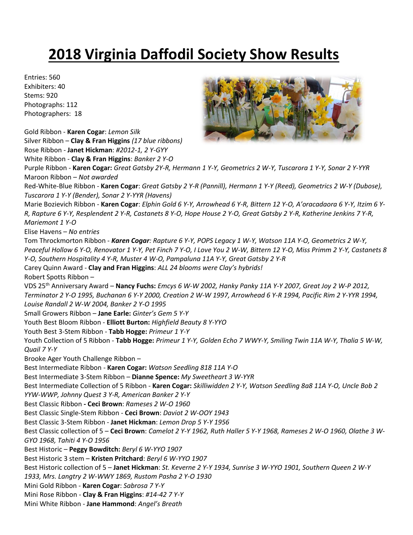## **2018 Virginia Daffodil Society Show Results**

Entries: 560 Exhibiters: 40 Stems: 920 Photographs: 112 Photographers: 18

Gold Ribbon - **Karen Cogar**: *Lemon Silk* Silver Ribbon – **Clay & Fran Higgins** *(17 blue ribbons)* Rose Ribbon - **Janet Hickman**: *#2012-1, 2 Y-GYY*

White Ribbon - **Clay & Fran Higgins**: *Banker 2 Y-O*



Purple Ribbon - **Karen Cogar:** *Great Gatsby 2Y-R, Hermann 1 Y-Y, Geometrics 2 W-Y, Tuscarora 1 Y-Y, Sonar 2 Y-YYR* Maroon Ribbon – *Not awarded* Red-White-Blue Ribbon - **Karen Cogar**: *Great Gatsby 2 Y-R (Pannill), Hermann 1 Y-Y (Reed), Geometrics 2 W-Y (Dubose), Tuscarora 1 Y-Y (Bender), Sonar 2 Y-YYR (Havens)* Marie Bozievich Ribbon - **Karen Cogar**: *Elphin Gold 6 Y-Y, Arrowhead 6 Y-R, Bittern 12 Y-O, A'oracadaora 6 Y-Y, Itzim 6 Y-R, Rapture 6 Y-Y, Resplendent 2 Y-R, Castanets 8 Y-O, Hope House 2 Y-O, Great Gatsby 2 Y-R, Katherine Jenkins 7 Y-R, Mariemont 1 Y-O* Elise Havens – *No entries* Tom Throckmorton Ribbon - *Karen Cogar: Rapture 6 Y-Y, POPS Legacy 1 W-Y, Watson 11A Y-O, Geometrics 2 W-Y, Peaceful Hollow 6 Y-O, Renovator 1 Y-Y, Pet Finch 7 Y-O, I Love You 2 W-W, Bittern 12 Y-O, Miss Primm 2 Y-Y, Castanets 8 Y-O, Southern Hospitality 4 Y-R, Muster 4 W-O, Pampaluna 11A Y-Y, Great Gatsby 2 Y-R* Carey Quinn Award - **Clay and Fran Higgins**: *ALL 24 blooms were Clay's hybrids!* Robert Spotts Ribbon – VDS 25th Anniversary Award – **Nancy Fuchs:** *Emcys 6 W-W 2002, Hanky Panky 11A Y-Y 2007, Great Joy 2 W-P 2012, Terminator 2 Y-O 1995, Buchanan 6 Y-Y 2000, Creation 2 W-W 1997, Arrowhead 6 Y-R 1994, Pacific Rim 2 Y-YYR 1994, Louise Randall 2 W-W 2004, Banker 2 Y-O 1995* Small Growers Ribbon – **Jane Earle:** *Ginter's Gem 5 Y-Y* Youth Best Bloom Ribbon - **Elliott Burton:** *Highfield Beauty 8 Y-YYO* Youth Best 3-Stem Ribbon - **Tabb Hogge:** *Primeur 1 Y-Y* Youth Collection of 5 Ribbon - **Tabb Hogge:** *Primeur 1 Y-Y, Golden Echo 7 WWY-Y, Smiling Twin 11A W-Y, Thalia 5 W-W, Quail 7 Y-Y* Brooke Ager Youth Challenge Ribbon – Best Intermediate Ribbon - **Karen Cogar:** *Watson Seedling 818 11A Y-O* Best Intermediate 3-Stem Ribbon – **Dianne Spence:** *My Sweetheart 3 W-YYR* Best Intermediate Collection of 5 Ribbon - **Karen Cogar:** *Skilliwidden 2 Y-Y, Watson Seedling 8a8 11A Y-O, Uncle Bob 2 YYW-WWP, Johnny Quest 3 Y-R, American Banker 2 Y-Y* Best Classic Ribbon **- Ceci Brown**: *Rameses 2 W-O 1960* Best Classic Single-Stem Ribbon - **Ceci Brown**: *Daviot 2 W-OOY 1943* Best Classic 3-Stem Ribbon - **Janet Hickman**: *Lemon Drop 5 Y-Y 1956* Best Classic collection of 5 – **Ceci Brown**: *Camelot 2 Y-Y 1962, Ruth Haller 5 Y-Y 1968, Rameses 2 W-O 1960, Olathe 3 W-GYO 1968, Tahiti 4 Y-O 1956* Best Historic – **Peggy Bowditch:** *Beryl 6 W-YYO 1907* Best Historic 3 stem – **Kristen Pritchard**: *Beryl 6 W-YYO 1907* Best Historic collection of 5 – **Janet Hickman**: *St. Keverne 2 Y-Y 1934, Sunrise 3 W-YYO 1901, Southern Queen 2 W-Y 1933, Mrs. Langtry 2 W-WWY 1869, Rustom Pasha 2 Y-O 1930* Mini Gold Ribbon - **Karen Cogar**: *Sabrosa 7 Y-Y* Mini Rose Ribbon - **Clay & Fran Higgins**: *#14-42 7 Y-Y* Mini White Ribbon - **Jane Hammond**: *Angel's Breath*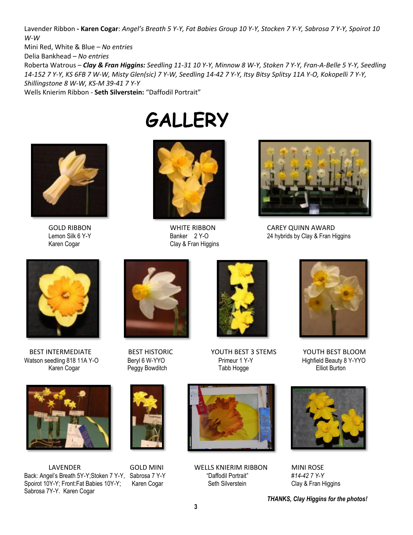Lavender Ribbon **- Karen Cogar**: *Angel's Breath 5 Y-Y, Fat Babies Group 10 Y-Y, Stocken 7 Y-Y, Sabrosa 7 Y-Y, Spoirot 10 W-W*

Mini Red, White & Blue – *No entries*

Delia Bankhead – *No entries*

Roberta Watrous – *Clay & Fran Higgins: Seedling 11-31 10 Y-Y, Minnow 8 W-Y, Stoken 7 Y-Y, Fran-A-Belle 5 Y-Y, Seedling 14-152 7 Y-Y, KS 6FB 7 W-W, Misty Glen(sic) 7 Y-W, Seedling 14-42 7 Y-Y, Itsy Bitsy Splitsy 11A Y-O, Kokopelli 7 Y-Y, Shillingstone 8 W-W, KS-M 39-41 7 Y-Y*

Wells Knierim Ribbon - **Seth Silverstein:** "Daffodil Portrait"





**GALLERY**

Lemon Silk 6 Y-Y **Example 2 Y-O** Banker 2 Y-O 24 hybrids by Clay & Fran Higgins Karen Cogar Clay & Fran Higgins



GOLD RIBBON WHITE RIBBON CAREY QUINN AWARD



Watson seedling 818 11A Y-O Beryl 6 W-YYO Primeur 1 Y-Y Highfield Beauty 8 Years are entity beauty 8 Years Beryl 6 W-YYO Primeur 1 Y-Y Highfield Beauty 8 Years Bergy Bowditch Surton Karen Cogar Peggy Bowditch Tabb Hogge



LAVENDER GOLD MINI WELLS KNIERIM RIBBON MINI ROSE Back: Angel's Breath 5Y-Y;Stoken 7 Y-Y, Sabrosa 7 Y-Y "Daffodil Portrait" *#14-42 7 Y-Y* Spoirot 10Y-Y; Front:Fat Babies 10Y-Y; Karen Cogar Seth Silverstein Clay & Fran Higgins Sabrosa 7Y-Y. Karen Cogar











*THANKS, Clay Higgins for the photos!*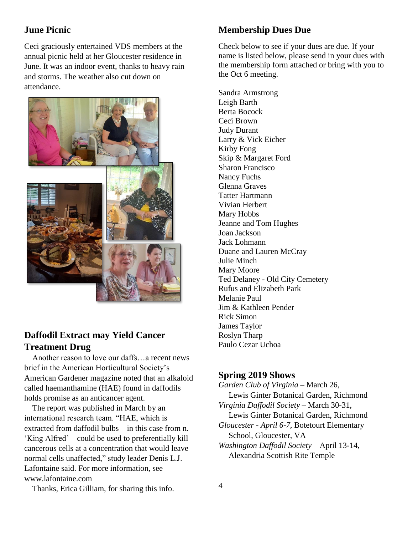#### **June Picnic**

Ceci graciously entertained VDS members at the annual picnic held at her Gloucester residence in June. It was an indoor event, thanks to heavy rain and storms. The weather also cut down on attendance.



#### **Daffodil Extract may Yield Cancer Treatment Drug**

 Another reason to love our daffs…a recent news brief in the American Horticultural Society's American Gardener magazine noted that an alkaloid called haemanthamine (HAE) found in daffodils holds promise as an anticancer agent.

 The report was published in March by an international research team. "HAE, which is extracted from daffodil bulbs—in this case from n. 'King Alfred'—could be used to preferentially kill cancerous cells at a concentration that would leave normal cells unaffected," study leader Denis L.J. Lafontaine said. For more information, see [www.lafontaine.com](http://www.lafontaine.com/)

Thanks, Erica Gilliam, for sharing this info.

#### **Membership Dues Due**

Check below to see if your dues are due. If your name is listed below, please send in your dues with the membership form attached or bring with you to the Oct 6 meeting.

Sandra Armstrong Leigh Barth Berta Bocock Ceci Brown Judy Durant Larry & Vick Eicher Kirby Fong Skip & Margaret Ford Sharon Francisco Nancy Fuchs Glenna Graves Tatter Hartmann Vivian Herbert Mary Hobbs Jeanne and Tom Hughes Joan Jackson Jack Lohmann Duane and Lauren McCray Julie Minch Mary Moore Ted Delaney - Old City Cemetery Rufus and Elizabeth Park Melanie Paul Jim & Kathleen Pender Rick Simon James Taylor Roslyn Tharp Paulo Cezar Uchoa

#### **Spring 2019 Shows**

*Garden Club of Virginia* – March 26, Lewis Ginter Botanical Garden, Richmond *Virginia Daffodil Society* – March 30-31, Lewis Ginter Botanical Garden, Richmond *Gloucester - April 6-7,* Botetourt Elementary School, Gloucester, VA *Washington Daffodil Society* – April 13-14, Alexandria Scottish Rite Temple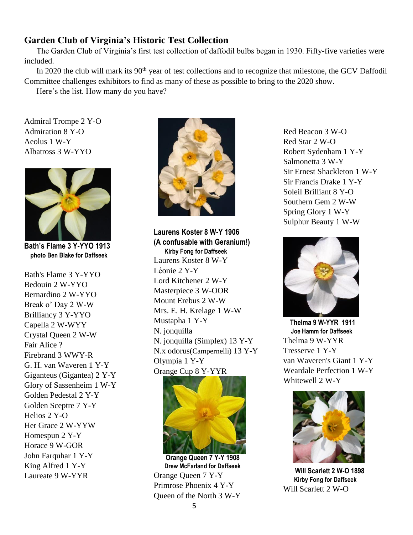#### **Garden Club of Virginia's Historic Test Collection**

The Garden Club of Virginia's first test collection of daffodil bulbs began in 1930. Fifty-five varieties were included.

In 2020 the club will mark its 90<sup>th</sup> year of test collections and to recognize that milestone, the GCV Daffodil Committee challenges exhibitors to find as many of these as possible to bring to the 2020 show.

Here's the list. How many do you have?

Admiral Trompe 2 Y-O Admiration 8 Y-O Aeolus 1 W-Y Albatross 3 W-YYO



**Bath's Flame 3 Y-YYO 1913 photo Ben Blake for Daffseek**

Bath's Flame 3 Y-YYO Bedouin 2 W-YYO Bernardino 2 W-YYO Break o' Day 2 W-W Brilliancy 3 Y-YYO Capella 2 W-WYY Crystal Queen 2 W-W Fair Alice ? Firebrand 3 WWY-R G. H. van Waveren 1 Y-Y Giganteus (Gigantea) 2 Y-Y Glory of Sassenheim 1 W-Y Golden Pedestal 2 Y-Y Golden Sceptre 7 Y-Y Helios 2 Y-O Her Grace 2 W-YYW Homespun 2 Y-Y Horace 9 W-GOR John Farquhar 1 Y-Y King Alfred 1 Y-Y Laureate 9 W-YYR



**Laurens Koster 8 W-Y 1906 (A confusable with Geranium!) Kirby Fong for Daffseek** Laurens Koster 8 W-Y Léonie 2 Y-Y Lord Kitchener 2 W-Y Masterpiece 3 W-OOR Mount Erebus 2 W-W Mrs. E. H. Krelage 1 W-W Mustapha 1 Y-Y N. jonquilla N. jonquilla (Simplex) 13 Y-Y N.x odorus(Campernelli) 13 Y-Y Olympia 1 Y-Y Orange Cup 8 Y-YYR



 **Orange Queen 7 Y-Y 1908 Drew McFarland for Daffseek** Orange Queen 7 Y-Y Primrose Phoenix 4 Y-Y Queen of the North 3 W-Y Red Beacon 3 W-O Red Star 2 W-O Robert Sydenham 1 Y-Y Salmonetta 3 W-Y Sir Ernest Shackleton 1 W-Y Sir Francis Drake 1 Y-Y Soleil Brilliant 8 Y-O Southern Gem 2 W-W Spring Glory 1 W-Y Sulphur Beauty 1 W-W



 **Thelma 9 W-YYR 1911 Joe Hamm for Daffseek** Thelma 9 W-YYR Tresserve 1 Y-Y van Waveren's Giant 1 Y-Y Weardale Perfection 1 W-Y Whitewell 2 W-Y



 **Will Scarlett 2 W-O 1898 Kirby Fong for Daffseek** Will Scarlett 2 W-O